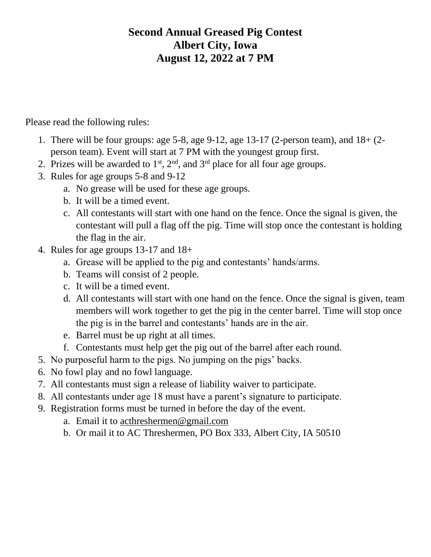## **Second Annual Greased Pig Contest Albert City, Iowa August 12, 2022 at 7 PM**

Please read the following rules:

- 1. There will be four groups: age 5-8, age 9-12, age 13-17 (2-person team), and 18+ (2 person team). Event will start at 7 PM with the youngest group first.
- 2. Prizes will be awarded to  $1<sup>st</sup>$ ,  $2<sup>nd</sup>$ , and  $3<sup>rd</sup>$  place for all four age groups.
- 3. Rules for age groups 5-8 and 9-12
	- a. No grease will be used for these age groups.
	- b. It will be a timed event.
	- c. All contestants will start with one hand on the fence. Once the signal is given, the contestant will pull a flag off the pig. Time will stop once the contestant is holding the flag in the air.
- 4. Rules for age groups 13-17 and 18+
	- a. Grease will be applied to the pig and contestants' hands/arms.
	- b. Teams will consist of 2 people.
	- c. It will be a timed event.
	- d. All contestants will start with one hand on the fence. Once the signal is given, team members will work together to get the pig in the center barrel. Time will stop once the pig is in the barrel and contestants' hands are in the air.
	- e. Barrel must be up right at all times.
	- f. Contestants must help get the pig out of the barrel after each round.
- 5. No purposeful harm to the pigs. No jumping on the pigs' backs.
- 6. No fowl play and no fowl language.
- 7. All contestants must sign a release of liability waiver to participate.
- 8. All contestants under age 18 must have a parent's signature to participate.
- 9. Registration forms must be turned in before the day of the event.
	- a. Email it to [acthreshermen@gmail.com](mailto:acthreshermen@gmail.com)
	- b. Or mail it to AC Threshermen, PO Box 333, Albert City, IA 50510